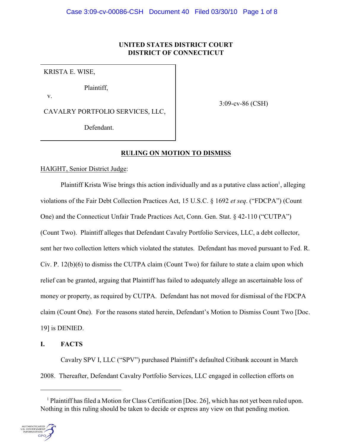# **UNITED STATES DISTRICT COURT DISTRICT OF CONNECTICUT**

KRISTA E. WISE,

Plaintiff,

v.

CAVALRY PORTFOLIO SERVICES, LLC,

3:09-cv-86 (CSH)

Defendant.

# **RULING ON MOTION TO DISMISS**

HAIGHT, Senior District Judge:

Plaintiff Krista Wise brings this action individually and as a putative class action<sup>1</sup>, alleging violations of the Fair Debt Collection Practices Act, 15 U.S.C. § 1692 *et seq*. ("FDCPA") (Count One) and the Connecticut Unfair Trade Practices Act, Conn. Gen. Stat. § 42-110 ("CUTPA") (Count Two). Plaintiff alleges that Defendant Cavalry Portfolio Services, LLC, a debt collector, sent her two collection letters which violated the statutes. Defendant has moved pursuant to Fed. R. Civ. P. 12(b)(6) to dismiss the CUTPA claim (Count Two) for failure to state a claim upon which relief can be granted, arguing that Plaintiff has failed to adequately allege an ascertainable loss of money or property, as required by CUTPA. Defendant has not moved for dismissal of the FDCPA claim (Count One). For the reasons stated herein, Defendant's Motion to Dismiss Count Two [Doc. 19] is DENIED.

# **I. FACTS**

Cavalry SPV I, LLC ("SPV") purchased Plaintiff's defaulted Citibank account in March 2008. Thereafter, Defendant Cavalry Portfolio Services, LLC engaged in collection efforts on

 $<sup>1</sup>$  Plaintiff has filed a Motion for Class Certification [Doc. 26], which has not yet been ruled upon.</sup> Nothing in this ruling should be taken to decide or express any view on that pending motion.

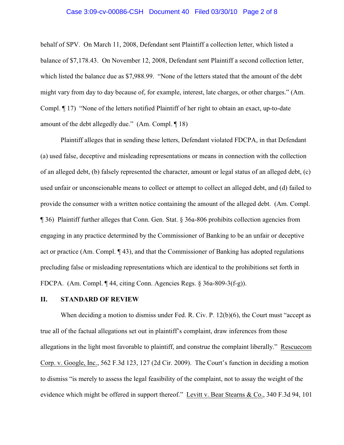#### Case 3:09-cv-00086-CSH Document 40 Filed 03/30/10 Page 2 of 8

behalf of SPV. On March 11, 2008, Defendant sent Plaintiff a collection letter, which listed a balance of \$7,178.43. On November 12, 2008, Defendant sent Plaintiff a second collection letter, which listed the balance due as \$7,988.99. "None of the letters stated that the amount of the debt might vary from day to day because of, for example, interest, late charges, or other charges." (Am. Compl. ¶ 17) "None of the letters notified Plaintiff of her right to obtain an exact, up-to-date amount of the debt allegedly due." (Am. Compl. ¶ 18)

Plaintiff alleges that in sending these letters, Defendant violated FDCPA, in that Defendant (a) used false, deceptive and misleading representations or means in connection with the collection of an alleged debt, (b) falsely represented the character, amount or legal status of an alleged debt, (c) used unfair or unconscionable means to collect or attempt to collect an alleged debt, and (d) failed to provide the consumer with a written notice containing the amount of the alleged debt. (Am. Compl. ¶ 36) Plaintiff further alleges that Conn. Gen. Stat. § 36a-806 prohibits collection agencies from engaging in any practice determined by the Commissioner of Banking to be an unfair or deceptive act or practice (Am. Compl. ¶ 43), and that the Commissioner of Banking has adopted regulations precluding false or misleading representations which are identical to the prohibitions set forth in FDCPA. (Am. Compl. ¶ 44, citing Conn. Agencies Regs. § 36a-809-3(f-g)).

## **II. STANDARD OF REVIEW**

When deciding a motion to dismiss under Fed. R. Civ. P. 12(b)(6), the Court must "accept as true all of the factual allegations set out in plaintiff's complaint, draw inferences from those allegations in the light most favorable to plaintiff, and construe the complaint liberally." Rescuecom Corp. v. Google, Inc., 562 F.3d 123, 127 (2d Cir. 2009). The Court's function in deciding a motion to dismiss "is merely to assess the legal feasibility of the complaint, not to assay the weight of the evidence which might be offered in support thereof."Levitt v. Bear Stearns & Co., 340 F.3d 94, 101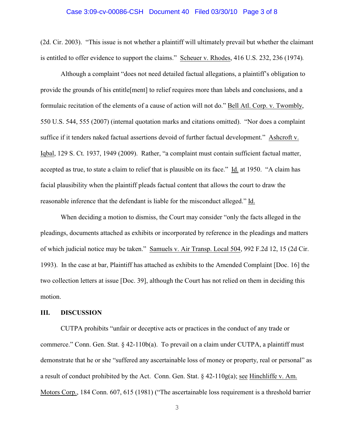#### Case 3:09-cv-00086-CSH Document 40 Filed 03/30/10 Page 3 of 8

(2d. Cir. 2003). "This issue is not whether a plaintiff will ultimately prevail but whether the claimant is entitled to offer evidence to support the claims." Scheuer v. Rhodes, 416 U.S. 232, 236 (1974)*.*

Although a complaint "does not need detailed factual allegations, a plaintiff's obligation to provide the grounds of his entitle[ment] to relief requires more than labels and conclusions, and a formulaic recitation of the elements of a cause of action will not do." Bell Atl. Corp. v. Twombly, 550 U.S. 544, 555 (2007) (internal quotation marks and citations omitted). "Nor does a complaint suffice if it tenders naked factual assertions devoid of further factual development." Ashcroft v. Iqbal, 129 S. Ct. 1937, 1949 (2009). Rather, "a complaint must contain sufficient factual matter, accepted as true, to state a claim to relief that is plausible on its face." Id. at 1950. "A claim has facial plausibility when the plaintiff pleads factual content that allows the court to draw the reasonable inference that the defendant is liable for the misconduct alleged." Id.

When deciding a motion to dismiss, the Court may consider "only the facts alleged in the pleadings, documents attached as exhibits or incorporated by reference in the pleadings and matters of which judicial notice may be taken." Samuels v. Air Transp. Local 504, 992 F.2d 12, 15 (2d Cir. 1993). In the case at bar, Plaintiff has attached as exhibits to the Amended Complaint [Doc. 16] the two collection letters at issue [Doc. 39], although the Court has not relied on them in deciding this motion.

### **III. DISCUSSION**

CUTPA prohibits "unfair or deceptive acts or practices in the conduct of any trade or commerce." Conn. Gen. Stat. § 42-110b(a). To prevail on a claim under CUTPA, a plaintiff must demonstrate that he or she "suffered any ascertainable loss of money or property, real or personal" as a result of conduct prohibited by the Act. Conn. Gen. Stat. § 42-110g(a); see Hinchliffe v. Am. Motors Corp., 184 Conn. 607, 615 (1981) ("The ascertainable loss requirement is a threshold barrier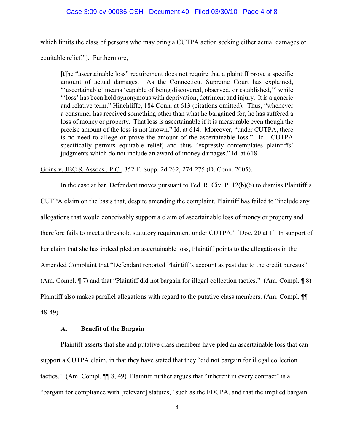#### Case 3:09-cv-00086-CSH Document 40 Filed 03/30/10 Page 4 of 8

which limits the class of persons who may bring a CUTPA action seeking either actual damages or equitable relief."). Furthermore,

[t]he "ascertainable loss" requirement does not require that a plaintiff prove a specific amount of actual damages. As the Connecticut Supreme Court has explained, "'ascertainable' means 'capable of being discovered, observed, or established," while "'loss' has been held synonymous with deprivation, detriment and injury. It is a generic and relative term." Hinchliffe, 184 Conn. at 613 (citations omitted). Thus, "whenever a consumer has received something other than what he bargained for, he has suffered a loss of money or property. That loss is ascertainable if it is measurable even though the precise amount of the loss is not known." Id. at 614. Moreover, "under CUTPA, there is no need to allege or prove the amount of the ascertainable loss." Id. CUTPA specifically permits equitable relief, and thus "expressly contemplates plaintiffs' judgments which do not include an award of money damages." Id. at 618.

Goins v. JBC & Assocs., P.C., 352 F. Supp. 2d 262, 274-275 (D. Conn. 2005).

In the case at bar, Defendant moves pursuant to Fed. R. Civ. P. 12(b)(6) to dismiss Plaintiff's CUTPA claim on the basis that, despite amending the complaint, Plaintiff has failed to "include any allegations that would conceivably support a claim of ascertainable loss of money or property and therefore fails to meet a threshold statutory requirement under CUTPA." [Doc. 20 at 1] In support of her claim that she has indeed pled an ascertainable loss, Plaintiff points to the allegations in the Amended Complaint that "Defendant reported Plaintiff's account as past due to the credit bureaus" (Am. Compl. ¶ 7) and that "Plaintiff did not bargain for illegal collection tactics." (Am. Compl. ¶ 8) Plaintiff also makes parallel allegations with regard to the putative class members. (Am. Compl. ¶¶ 48-49)

#### **A. Benefit of the Bargain**

Plaintiff asserts that she and putative class members have pled an ascertainable loss that can support a CUTPA claim, in that they have stated that they "did not bargain for illegal collection tactics." (Am. Compl. ¶¶ 8, 49) Plaintiff further argues that "inherent in every contract" is a "bargain for compliance with [relevant] statutes," such as the FDCPA, and that the implied bargain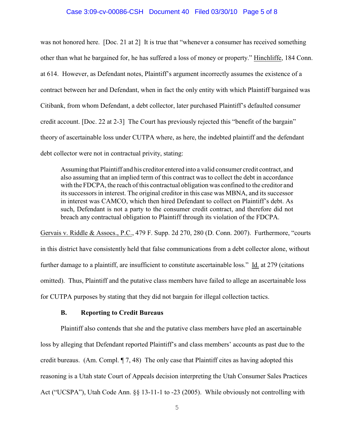#### Case 3:09-cv-00086-CSH Document 40 Filed 03/30/10 Page 5 of 8

was not honored here. [Doc. 21 at 2] It is true that "whenever a consumer has received something other than what he bargained for, he has suffered a loss of money or property." Hinchliffe, 184 Conn. at 614. However, as Defendant notes, Plaintiff's argument incorrectly assumes the existence of a contract between her and Defendant, when in fact the only entity with which Plaintiff bargained was Citibank, from whom Defendant, a debt collector, later purchased Plaintiff's defaulted consumer credit account. [Doc. 22 at 2-3] The Court has previously rejected this "benefit of the bargain" theory of ascertainable loss under CUTPA where, as here, the indebted plaintiff and the defendant debt collector were not in contractual privity, stating:

Assuming that Plaintiff and his creditor entered into a valid consumer credit contract, and also assuming that an implied term of this contract was to collect the debt in accordance with the FDCPA, the reach of this contractual obligation was confined to the creditor and its successors in interest. The original creditor in this case was MBNA, and its successor in interest was CAMCO, which then hired Defendant to collect on Plaintiff's debt. As such, Defendant is not a party to the consumer credit contract, and therefore did not breach any contractual obligation to Plaintiff through its violation of the FDCPA.

Gervais v. Riddle & Assocs., P.C., 479 F. Supp. 2d 270, 280 (D. Conn. 2007). Furthermore, "courts in this district have consistently held that false communications from a debt collector alone, without further damage to a plaintiff, are insufficient to constitute ascertainable loss." Id. at 279 (citations omitted). Thus, Plaintiff and the putative class members have failed to allege an ascertainable loss for CUTPA purposes by stating that they did not bargain for illegal collection tactics.

## **B. Reporting to Credit Bureaus**

Plaintiff also contends that she and the putative class members have pled an ascertainable loss by alleging that Defendant reported Plaintiff's and class members' accounts as past due to the credit bureaus. (Am. Compl. ¶ 7, 48) The only case that Plaintiff cites as having adopted this reasoning is a Utah state Court of Appeals decision interpreting the Utah Consumer Sales Practices Act ("UCSPA"), Utah Code Ann. §§ 13-11-1 to -23 (2005). While obviously not controlling with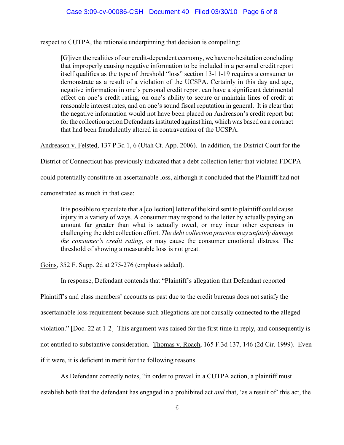respect to CUTPA, the rationale underpinning that decision is compelling:

[G]iven the realities of our credit-dependent economy, we have no hesitation concluding that improperly causing negative information to be included in a personal credit report itself qualifies as the type of threshold "loss" section 13-11-19 requires a consumer to demonstrate as a result of a violation of the UCSPA. Certainly in this day and age, negative information in one's personal credit report can have a significant detrimental effect on one's credit rating, on one's ability to secure or maintain lines of credit at reasonable interest rates, and on one's sound fiscal reputation in general. It is clear that the negative information would not have been placed on Andreason's credit report but for the collection action Defendants instituted against him, which was based on a contract that had been fraudulently altered in contravention of the UCSPA.

Andreason v. Felsted, 137 P.3d 1, 6 (Utah Ct. App. 2006). In addition, the District Court for the

District of Connecticut has previously indicated that a debt collection letter that violated FDCPA

could potentially constitute an ascertainable loss, although it concluded that the Plaintiff had not

demonstrated as much in that case:

It is possible to speculate that a [collection] letter of the kind sent to plaintiff could cause injury in a variety of ways. A consumer may respond to the letter by actually paying an amount far greater than what is actually owed, or may incur other expenses in challenging the debt collection effort. *The debt collection practice may unfairly damage the consumer's credit rating*, or may cause the consumer emotional distress. The threshold of showing a measurable loss is not great.

Goins, 352 F. Supp. 2d at 275-276 (emphasis added).

In response, Defendant contends that "Plaintiff's allegation that Defendant reported

Plaintiff's and class members' accounts as past due to the credit bureaus does not satisfy the ascertainable loss requirement because such allegations are not causally connected to the alleged violation." [Doc. 22 at 1-2] This argument was raised for the first time in reply, and consequently is not entitled to substantive consideration. Thomas v. Roach, 165 F.3d 137, 146 (2d Cir. 1999). Even if it were, it is deficient in merit for the following reasons.

As Defendant correctly notes, "in order to prevail in a CUTPA action, a plaintiff must establish both that the defendant has engaged in a prohibited act *and* that, 'as a result of' this act, the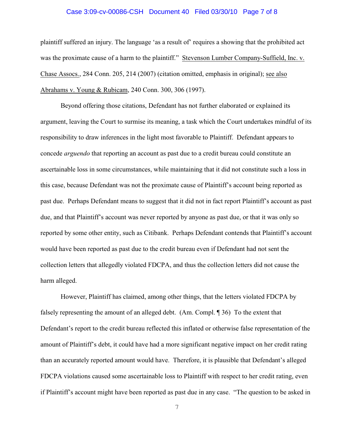#### Case 3:09-cv-00086-CSH Document 40 Filed 03/30/10 Page 7 of 8

plaintiff suffered an injury. The language 'as a result of' requires a showing that the prohibited act was the proximate cause of a harm to the plaintiff." Stevenson Lumber Company-Suffield, Inc. v. Chase Assocs., 284 Conn. 205, 214 (2007) (citation omitted, emphasis in original); see also Abrahams v. Young & Rubicam, 240 Conn. 300, 306 (1997).

Beyond offering those citations, Defendant has not further elaborated or explained its argument, leaving the Court to surmise its meaning, a task which the Court undertakes mindful of its responsibility to draw inferences in the light most favorable to Plaintiff. Defendant appears to concede *arguendo* that reporting an account as past due to a credit bureau could constitute an ascertainable loss in some circumstances, while maintaining that it did not constitute such a loss in this case, because Defendant was not the proximate cause of Plaintiff's account being reported as past due. Perhaps Defendant means to suggest that it did not in fact report Plaintiff's account as past due, and that Plaintiff's account was never reported by anyone as past due, or that it was only so reported by some other entity, such as Citibank. Perhaps Defendant contends that Plaintiff's account would have been reported as past due to the credit bureau even if Defendant had not sent the collection letters that allegedly violated FDCPA, and thus the collection letters did not cause the harm alleged.

However, Plaintiff has claimed, among other things, that the letters violated FDCPA by falsely representing the amount of an alleged debt. (Am. Compl. ¶ 36) To the extent that Defendant's report to the credit bureau reflected this inflated or otherwise false representation of the amount of Plaintiff's debt, it could have had a more significant negative impact on her credit rating than an accurately reported amount would have. Therefore, it is plausible that Defendant's alleged FDCPA violations caused some ascertainable loss to Plaintiff with respect to her credit rating, even if Plaintiff's account might have been reported as past due in any case. "The question to be asked in